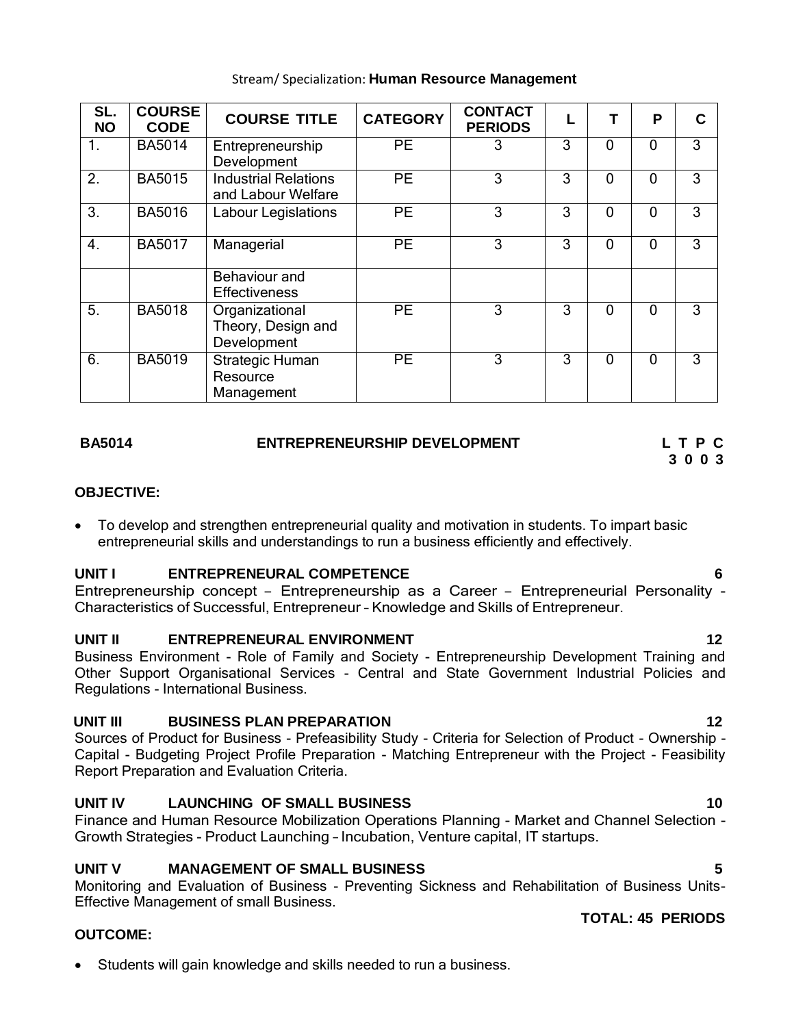| SL.<br><b>NO</b> | <b>COURSE</b><br><b>CODE</b> | <b>COURSE TITLE</b>                                 | <b>CATEGORY</b> | <b>CONTACT</b><br><b>PERIODS</b> |   |          | P            |   |
|------------------|------------------------------|-----------------------------------------------------|-----------------|----------------------------------|---|----------|--------------|---|
| 1.               | <b>BA5014</b>                | Entrepreneurship<br>Development                     | <b>PE</b>       |                                  | 3 | 0        | $\mathbf{0}$ | 3 |
| 2.               | <b>BA5015</b>                | <b>Industrial Relations</b><br>and Labour Welfare   | <b>PE</b>       | 3                                | 3 | 0        | 0            | 3 |
| 3.               | <b>BA5016</b>                | Labour Legislations                                 | <b>PE</b>       | 3                                | 3 | 0        | $\mathbf{0}$ | 3 |
| $\overline{4}$ . | <b>BA5017</b>                | Managerial                                          | <b>PE</b>       | 3                                | 3 | 0        | $\mathbf{0}$ | 3 |
|                  |                              | Behaviour and<br><b>Effectiveness</b>               |                 |                                  |   |          |              |   |
| 5.               | <b>BA5018</b>                | Organizational<br>Theory, Design and<br>Development | <b>PE</b>       | 3                                | 3 | $\Omega$ | $\Omega$     | 3 |
| 6.               | <b>BA5019</b>                | Strategic Human<br>Resource<br>Management           | <b>PE</b>       | 3                                | 3 | 0        | 0            | 3 |

## Stream/ Specialization: **Human Resource Management**

## **BA5014 ENTREPRENEURSHIP DEVELOPMENT L T P C**

# **3 0 0 3**

## **OBJECTIVE:**

 To develop and strengthen entrepreneurial quality and motivation in students. To impart basic entrepreneurial skills and understandings to run a business efficiently and effectively.

## **UNIT I ENTREPRENEURAL COMPETENCE 6**

Entrepreneurship concept – Entrepreneurship as a Career – Entrepreneurial Personality - Characteristics of Successful, Entrepreneur – Knowledge and Skills of Entrepreneur.

## **UNIT II ENTREPRENEURAL ENVIRONMENT 12**

Business Environment - Role of Family and Society - Entrepreneurship Development Training and Other Support Organisational Services - Central and State Government Industrial Policies and Regulations - International Business.

## **UNIT III BUSINESS PLAN PREPARATION 12**

Sources of Product for Business - Prefeasibility Study - Criteria for Selection of Product - Ownership - Capital - Budgeting Project Profile Preparation - Matching Entrepreneur with the Project - Feasibility Report Preparation and Evaluation Criteria.

## **UNIT IV LAUNCHING OF SMALL BUSINESS 10**

Finance and Human Resource Mobilization Operations Planning - Market and Channel Selection - Growth Strategies - Product Launching – Incubation, Venture capital, IT startups.

## **UNIT V MANAGEMENT OF SMALL BUSINESS 5**

Monitoring and Evaluation of Business - Preventing Sickness and Rehabilitation of Business Units-Effective Management of small Business.

## **OUTCOME:**

Students will gain knowledge and skills needed to run a business.

## **TOTAL: 45 PERIODS**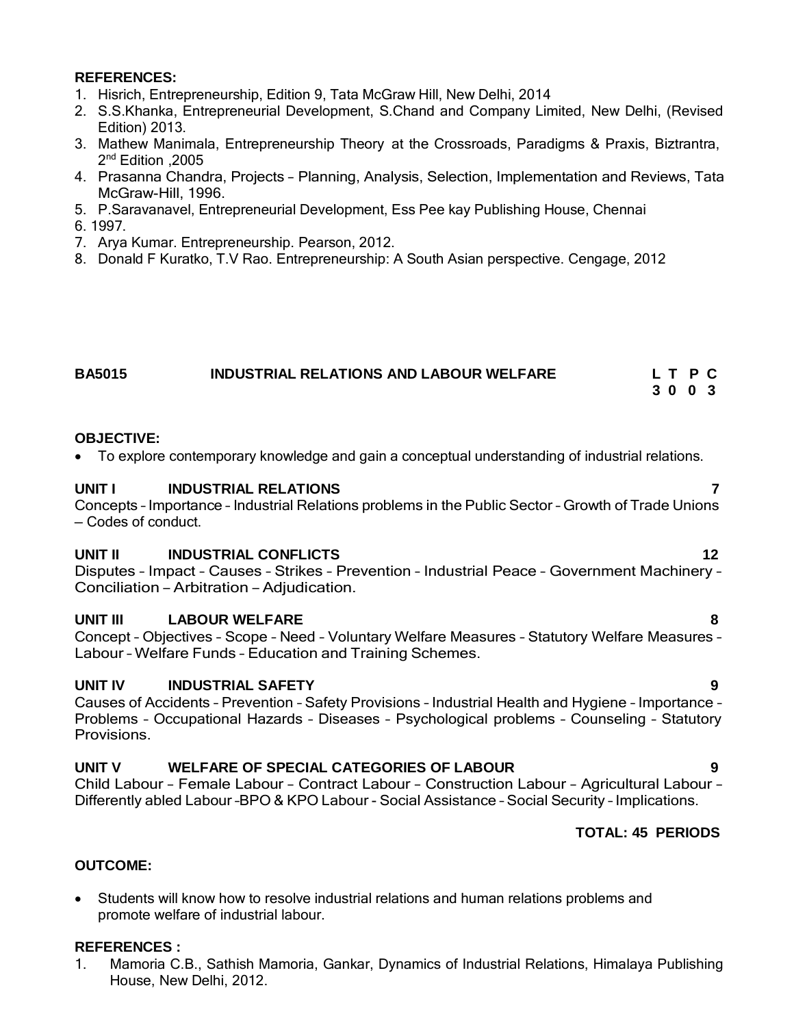## **REFERENCES:**

- 1. Hisrich, Entrepreneurship, Edition 9, Tata McGraw Hill, New Delhi, 2014
- 2. S.S.Khanka, Entrepreneurial Development, S.Chand and Company Limited, New Delhi, (Revised Edition) 2013.
- 3. Mathew Manimala, Entrepreneurship Theory at the Crossroads, Paradigms & Praxis, Biztrantra, 2 nd Edition ,2005
- 4. Prasanna Chandra, Projects Planning, Analysis, Selection, Implementation and Reviews, Tata McGraw-Hill, 1996.
- 5. P.Saravanavel, Entrepreneurial Development, Ess Pee kay Publishing House, Chennai
- 6. 1997.
- 7. Arya Kumar. Entrepreneurship. Pearson, 2012.
- 8. Donald F Kuratko, T.V Rao. Entrepreneurship: A South Asian perspective. Cengage, 2012

## **BA5015 INDUSTRIAL RELATIONS AND LABOUR WELFARE L T P C**

**3 0 0 3**

## **OBJECTIVE:**

To explore contemporary knowledge and gain a conceptual understanding of industrial relations.

## **UNIT I INDUSTRIAL RELATIONS 7**

Concepts – Importance – Industrial Relations problems in the Public Sector – Growth of Trade Unions – Codes of conduct.

## **UNIT II INDUSTRIAL CONFLICTS 12**

Disputes – Impact – Causes – Strikes – Prevention – Industrial Peace – Government Machinery – Conciliation – Arbitration – Adjudication.

## **UNIT III LABOUR WELFARE 8**

Concept – Objectives – Scope – Need – Voluntary Welfare Measures – Statutory Welfare Measures – Labour – Welfare Funds – Education and Training Schemes.

## **UNIT IV INDUSTRIAL SAFETY 9**

Causes of Accidents – Prevention – Safety Provisions – Industrial Health and Hygiene – Importance – Problems – Occupational Hazards – Diseases – Psychological problems – Counseling – Statutory Provisions.

## **UNIT V WELFARE OF SPECIAL CATEGORIES OF LABOUR 9**

Child Labour – Female Labour – Contract Labour – Construction Labour – Agricultural Labour – Differently abled Labour –BPO & KPO Labour - Social Assistance – Social Security – Implications.

## **TOTAL: 45 PERIODS**

## **OUTCOME:**

 Students will know how to resolve industrial relations and human relations problems and promote welfare of industrial labour.

## **REFERENCES :**

1. Mamoria C.B., Sathish Mamoria, Gankar, Dynamics of Industrial Relations, Himalaya Publishing House, New Delhi, 2012.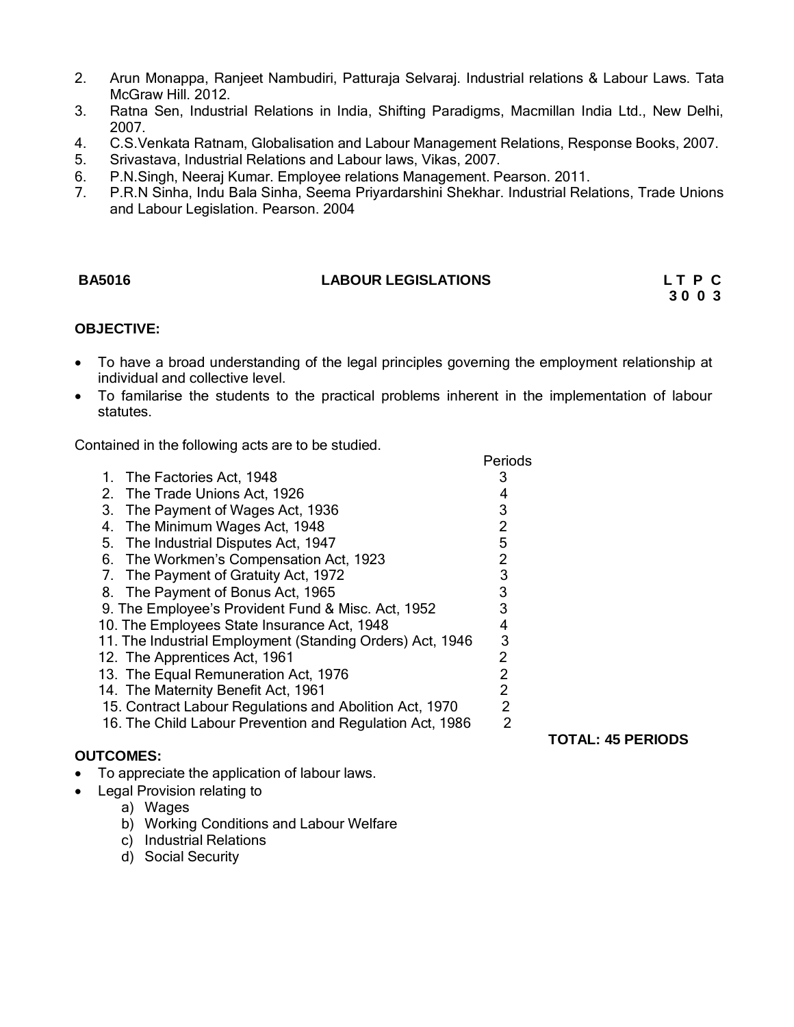- 2. Arun Monappa, Ranjeet Nambudiri, Patturaja Selvaraj. Industrial relations & Labour Laws. Tata McGraw Hill. 2012.
- 3. Ratna Sen, Industrial Relations in India, Shifting Paradigms, Macmillan India Ltd., New Delhi, 2007.
- 4. C.S.Venkata Ratnam, Globalisation and Labour Management Relations, Response Books, 2007.
- 5. Srivastava, Industrial Relations and Labour laws, Vikas, 2007.
- 6. P.N.Singh, Neeraj Kumar. Employee relations Management. Pearson. 2011.
- 7. P.R.N Sinha, Indu Bala Sinha, Seema Priyardarshini Shekhar. Industrial Relations, Trade Unions and Labour Legislation. Pearson. 2004

## **BA5016 LABOUR LEGISLATIONS L T P C**

**3 0 0 3**

## **OBJECTIVE:**

- To have a broad understanding of the legal principles governing the employment relationship at individual and collective level.
- To familarise the students to the practical problems inherent in the implementation of labour statutes.

Contained in the following acts are to be studied.

|    |                                                           | Periods        |
|----|-----------------------------------------------------------|----------------|
|    | 1. The Factories Act, 1948                                | 3              |
|    | 2. The Trade Unions Act, 1926                             | 4              |
| 3. | The Payment of Wages Act, 1936                            | 3              |
| 4. | The Minimum Wages Act, 1948                               | $\overline{2}$ |
|    | 5. The Industrial Disputes Act, 1947                      | 5              |
|    | 6. The Workmen's Compensation Act, 1923                   | $\overline{2}$ |
|    | 7. The Payment of Gratuity Act, 1972                      | 3              |
|    | 8. The Payment of Bonus Act, 1965                         | 3              |
|    | 9. The Employee's Provident Fund & Misc. Act, 1952        | 3              |
|    | 10. The Employees State Insurance Act, 1948               | 4              |
|    | 11. The Industrial Employment (Standing Orders) Act, 1946 | 3              |
|    | 12. The Apprentices Act, 1961                             | $\overline{2}$ |
|    | 13. The Equal Remuneration Act, 1976                      | $\overline{2}$ |
|    | 14. The Maternity Benefit Act, 1961                       | $\overline{2}$ |
|    | 15. Contract Labour Regulations and Abolition Act, 1970   | $\overline{2}$ |
|    | 16. The Child Labour Prevention and Regulation Act, 1986  | $\overline{2}$ |
|    |                                                           |                |

## **OUTCOMES:**

- To appreciate the application of labour laws.
- Legal Provision relating to
	- a) Wages
	- b) Working Conditions and Labour Welfare
	- c) Industrial Relations
	- d) Social Security

**TOTAL: 45 PERIODS**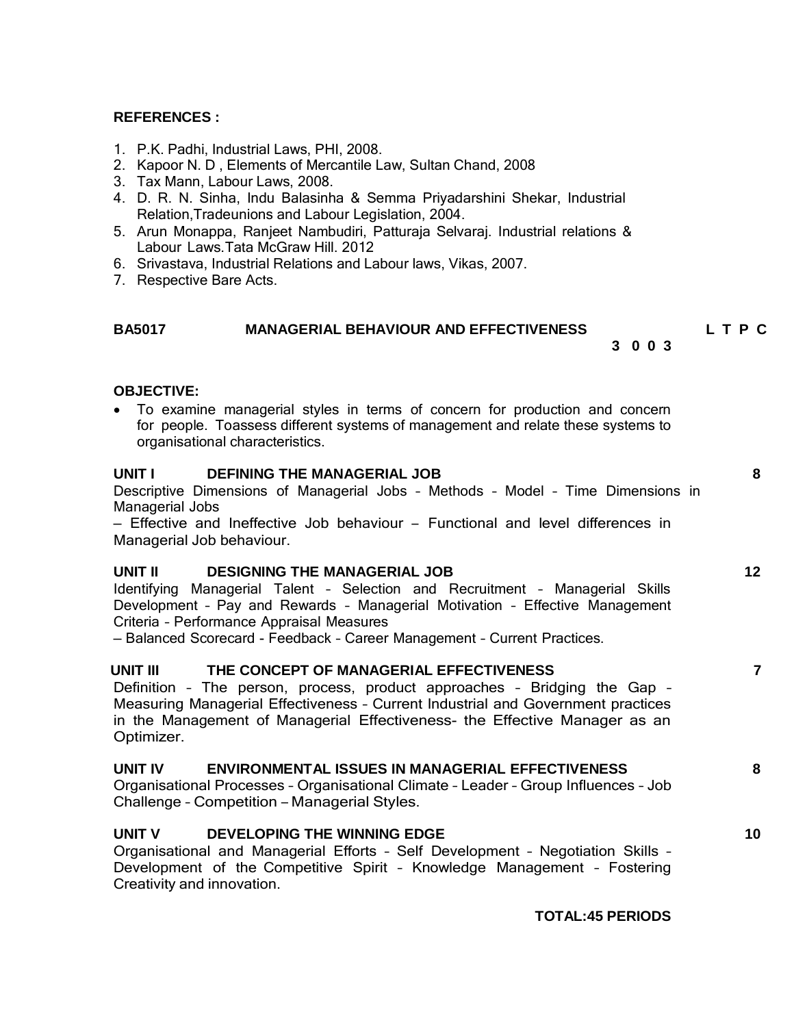## **REFERENCES :**

- 1. P.K. Padhi, Industrial Laws, PHI, 2008.
- 2. Kapoor N. D , Elements of Mercantile Law, Sultan Chand, 2008
- 3. Tax Mann, Labour Laws, 2008.
- 4. D. R. N. Sinha, Indu Balasinha & Semma Priyadarshini Shekar, Industrial Relation,Tradeunions and Labour Legislation, 2004.
- 5. Arun Monappa, Ranjeet Nambudiri, Patturaja Selvaraj. Industrial relations & Labour Laws.Tata McGraw Hill. 2012
- 6. Srivastava, Industrial Relations and Labour laws, Vikas, 2007.
- 7. Respective Bare Acts.

## **BA5017 MANAGERIAL BEHAVIOUR AND EFFECTIVENESS L T P C**

**3 0 0 3**

**OBJECTIVE:**

 To examine managerial styles in terms of concern for production and concern for people. Toassess different systems of management and relate these systems to organisational characteristics.

## **UNIT I DEFINING THE MANAGERIAL JOB 8**

Descriptive Dimensions of Managerial Jobs – Methods – Model – Time Dimensions in Managerial Jobs

– Effective and Ineffective Job behaviour – Functional and level differences in Managerial Job behaviour.

## **UNIT II DESIGNING THE MANAGERIAL JOB 12**

Identifying Managerial Talent – Selection and Recruitment – Managerial Skills Development – Pay and Rewards – Managerial Motivation – Effective Management Criteria – Performance Appraisal Measures

– Balanced Scorecard - Feedback – Career Management – Current Practices.

## **UNIT III THE CONCEPT OF MANAGERIAL EFFECTIVENESS 7**

Definition – The person, process, product approaches – Bridging the Gap – Measuring Managerial Effectiveness – Current Industrial and Government practices in the Management of Managerial Effectiveness- the Effective Manager as an Optimizer.

## **UNIT IV ENVIRONMENTAL ISSUES IN MANAGERIAL EFFECTIVENESS 8**

Organisational Processes – Organisational Climate – Leader – Group Influences – Job Challenge – Competition – Managerial Styles.

## **UNIT V DEVELOPING THE WINNING EDGE 10**

Organisational and Managerial Efforts – Self Development – Negotiation Skills – Development of the Competitive Spirit – Knowledge Management – Fostering Creativity and innovation.

**TOTAL:45 PERIODS**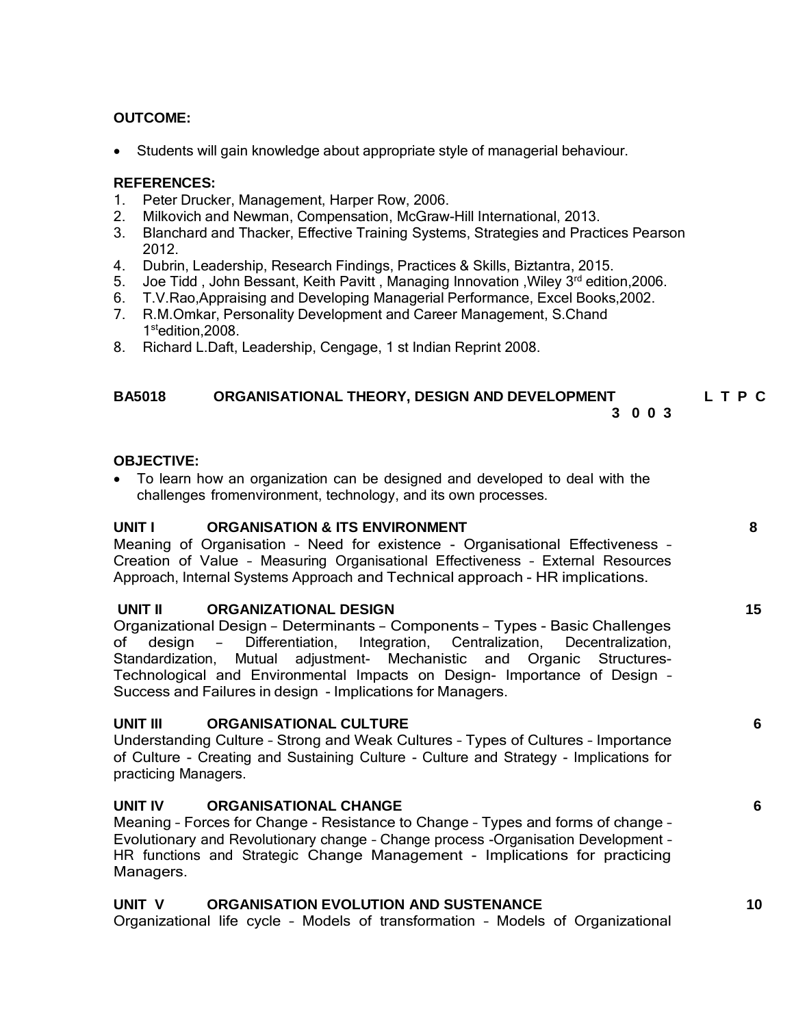## **OUTCOME:**

Students will gain knowledge about appropriate style of managerial behaviour.

## **REFERENCES:**

- 1. Peter Drucker, Management, Harper Row, 2006.
- 2. Milkovich and Newman, Compensation, McGraw-Hill International, 2013.
- 3. Blanchard and Thacker, Effective Training Systems, Strategies and Practices Pearson 2012.
- 4. Dubrin, Leadership, Research Findings, Practices & Skills, Biztantra, 2015.
- 5. Joe Tidd, John Bessant, Keith Pavitt, Managing Innovation, Wiley 3<sup>rd</sup> edition, 2006.
- 6. T.V.Rao,Appraising and Developing Managerial Performance, Excel Books,2002.
- 7. R.M.Omkar, Personality Development and Career Management, S.Chand 1 stedition,2008.
- 8. Richard L.Daft, Leadership, Cengage, 1 st Indian Reprint 2008.

## **BA5018 ORGANISATIONAL THEORY, DESIGN AND DEVELOPMENT L T P C 3 0 0 3**

## **OBJECTIVE:**

 To learn how an organization can be designed and developed to deal with the challenges fromenvironment, technology, and its own processes.

## **UNIT I ORGANISATION & ITS ENVIRONMENT 8**

Meaning of Organisation – Need for existence - Organisational Effectiveness – Creation of Value – Measuring Organisational Effectiveness – External Resources Approach, Internal Systems Approach and Technical approach - HR implications.

## **UNIT II ORGANIZATIONAL DESIGN 15**

Organizational Design – Determinants – Components – Types - Basic Challenges of design – Differentiation, Integration, Centralization, Decentralization, Standardization, Mutual adjustment- Mechanistic and Organic Structures-Technological and Environmental Impacts on Design- Importance of Design – Success and Failures in design - Implications for Managers.

## **UNIT III ORGANISATIONAL CULTURE 6**

Understanding Culture – Strong and Weak Cultures – Types of Cultures – Importance of Culture - Creating and Sustaining Culture - Culture and Strategy - Implications for practicing Managers.

## **UNIT IV ORGANISATIONAL CHANGE 6**

Meaning – Forces for Change - Resistance to Change – Types and forms of change – Evolutionary and Revolutionary change – Change process -Organisation Development – HR functions and Strategic Change Management - Implications for practicing Managers.

## **UNIT V ORGANISATION EVOLUTION AND SUSTENANCE 10**

Organizational life cycle – Models of transformation – Models of Organizational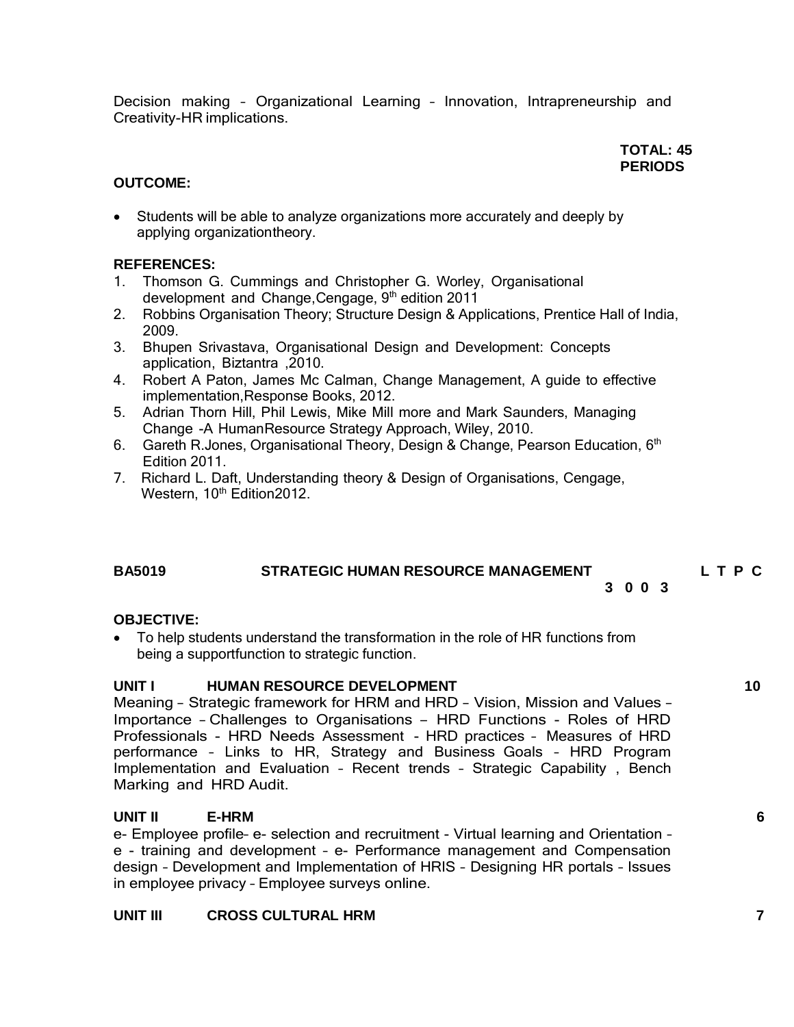Decision making – Organizational Learning – Innovation, Intrapreneurship and Creativity-HR implications.

## **TOTAL: 45 PERIODS**

## **OUTCOME:**

 Students will be able to analyze organizations more accurately and deeply by applying organizationtheory.

## **REFERENCES:**

- 1. Thomson G. Cummings and Christopher G. Worley, Organisational development and Change, Cengage, 9<sup>th</sup> edition 2011
- 2. Robbins Organisation Theory; Structure Design & Applications, Prentice Hall of India, 2009.
- 3. Bhupen Srivastava, Organisational Design and Development: Concepts application, Biztantra ,2010.
- 4. Robert A Paton, James Mc Calman, Change Management, A guide to effective implementation,Response Books, 2012.
- 5. Adrian Thorn Hill, Phil Lewis, Mike Mill more and Mark Saunders, Managing Change -A HumanResource Strategy Approach, Wiley, 2010.
- 6. Gareth R.Jones, Organisational Theory, Design & Change, Pearson Education, 6<sup>th</sup> Edition 2011.
- 7. Richard L. Daft, Understanding theory & Design of Organisations, Cengage, Western, 10<sup>th</sup> Edition2012.

## **BA5019 STRATEGIC HUMAN RESOURCE MANAGEMENT L T P C**

**3 0 0 3**

## **OBJECTIVE:**

 To help students understand the transformation in the role of HR functions from being a supportfunction to strategic function.

## **UNIT I HUMAN RESOURCE DEVELOPMENT 10**

Meaning – Strategic framework for HRM and HRD – Vision, Mission and Values – Importance – Challenges to Organisations – HRD Functions - Roles of HRD Professionals - HRD Needs Assessment - HRD practices – Measures of HRD performance – Links to HR, Strategy and Business Goals – HRD Program Implementation and Evaluation – Recent trends – Strategic Capability , Bench Marking and HRD Audit.

## **UNIT II E-HRM 6**

e- Employee profile– e- selection and recruitment - Virtual learning and Orientation – e - training and development – e- Performance management and Compensation design – Development and Implementation of HRIS – Designing HR portals – Issues in employee privacy – Employee surveys online.

## **UNIT III CROSS CULTURAL HRM 7**